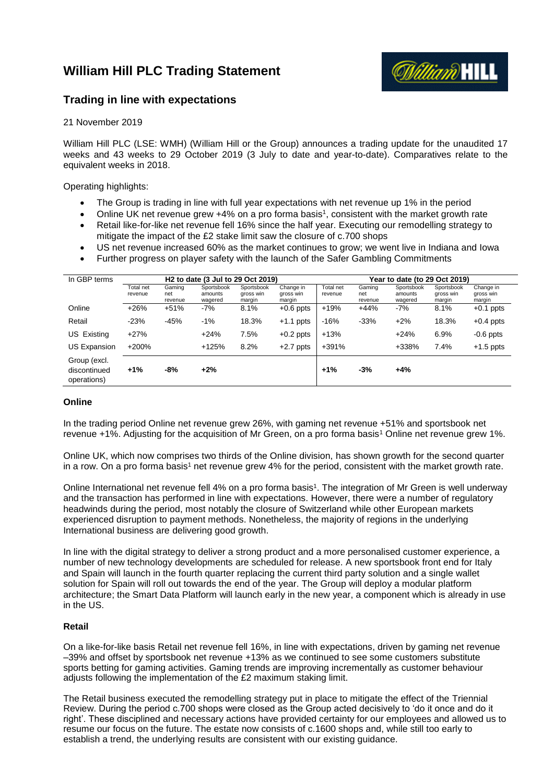# **William Hill PLC Trading Statement**



# **Trading in line with expectations**

# 21 November 2019

William Hill PLC (LSE: WMH) (William Hill or the Group) announces a trading update for the unaudited 17 weeks and 43 weeks to 29 October 2019 (3 July to date and year-to-date). Comparatives relate to the equivalent weeks in 2018.

Operating highlights:

- The Group is trading in line with full year expectations with net revenue up 1% in the period
- Online UK net revenue grew +4% on a pro forma basis<sup>1</sup>, consistent with the market growth rate
- Retail like-for-like net revenue fell 16% since the half year. Executing our remodelling strategy to mitigate the impact of the £2 stake limit saw the closure of c.700 shops
- US net revenue increased 60% as the market continues to grow; we went live in Indiana and Iowa
- Further progress on player safety with the launch of the Safer Gambling Commitments

| In GBP terms                                |                      | H <sub>2</sub> to date (3 Jul to 29 Oct 2019) |                                  |                                   |                                  |                      | Year to date (to 29 Oct 2019) |                                  |                                   |                                  |  |
|---------------------------------------------|----------------------|-----------------------------------------------|----------------------------------|-----------------------------------|----------------------------------|----------------------|-------------------------------|----------------------------------|-----------------------------------|----------------------------------|--|
|                                             | Total net<br>revenue | Gaming<br>net<br>revenue                      | Sportsbook<br>amounts<br>wagered | Sportsbook<br>gross win<br>margin | Change in<br>gross win<br>margin | Total net<br>revenue | Gaming<br>net<br>revenue      | Sportsbook<br>amounts<br>wagered | Sportsbook<br>gross win<br>margin | Change in<br>gross win<br>margin |  |
| Online                                      | $+26%$               | $+51%$                                        | $-7%$                            | 8.1%                              | $+0.6$ ppts                      | $+19%$               | $+44%$                        | $-7%$                            | 8.1%                              | $+0.1$ ppts                      |  |
| Retail                                      | $-23%$               | $-45%$                                        | $-1%$                            | 18.3%                             | $+1.1$ ppts                      | $-16%$               | $-33%$                        | $+2%$                            | 18.3%                             | $+0.4$ ppts                      |  |
| US Existing                                 | $+27%$               |                                               | $+24%$                           | 7.5%                              | $+0.2$ ppts                      | $+13%$               |                               | $+24%$                           | 6.9%                              | $-0.6$ ppts                      |  |
| <b>US Expansion</b>                         | $+200%$              |                                               | $+125%$                          | 8.2%                              | $+2.7$ ppts                      | $+391%$              |                               | +338%                            | 7.4%                              | $+1.5$ ppts                      |  |
| Group (excl.<br>discontinued<br>operations) | $+1%$                | -8%                                           | $+2%$                            |                                   |                                  | $+1%$                | $-3%$                         | $+4%$                            |                                   |                                  |  |

# **Online**

In the trading period Online net revenue grew 26%, with gaming net revenue +51% and sportsbook net revenue +1%. Adjusting for the acquisition of Mr Green, on a pro forma basis<sup>1</sup> Online net revenue grew 1%.

Online UK, which now comprises two thirds of the Online division, has shown growth for the second quarter in a row. On a pro forma basis<sup>1</sup> net revenue grew 4% for the period, consistent with the market growth rate.

Online International net revenue fell 4% on a pro forma basis<sup>1</sup>. The integration of Mr Green is well underway and the transaction has performed in line with expectations. However, there were a number of regulatory headwinds during the period, most notably the closure of Switzerland while other European markets experienced disruption to payment methods. Nonetheless, the majority of regions in the underlying International business are delivering good growth.

In line with the digital strategy to deliver a strong product and a more personalised customer experience, a number of new technology developments are scheduled for release. A new sportsbook front end for Italy and Spain will launch in the fourth quarter replacing the current third party solution and a single wallet solution for Spain will roll out towards the end of the year. The Group will deploy a modular platform architecture; the Smart Data Platform will launch early in the new year, a component which is already in use in the US.

## **Retail**

On a like-for-like basis Retail net revenue fell 16%, in line with expectations, driven by gaming net revenue –39% and offset by sportsbook net revenue +13% as we continued to see some customers substitute sports betting for gaming activities. Gaming trends are improving incrementally as customer behaviour adjusts following the implementation of the £2 maximum staking limit.

The Retail business executed the remodelling strategy put in place to mitigate the effect of the Triennial Review. During the period c.700 shops were closed as the Group acted decisively to 'do it once and do it right'. These disciplined and necessary actions have provided certainty for our employees and allowed us to resume our focus on the future. The estate now consists of c.1600 shops and, while still too early to establish a trend, the underlying results are consistent with our existing guidance.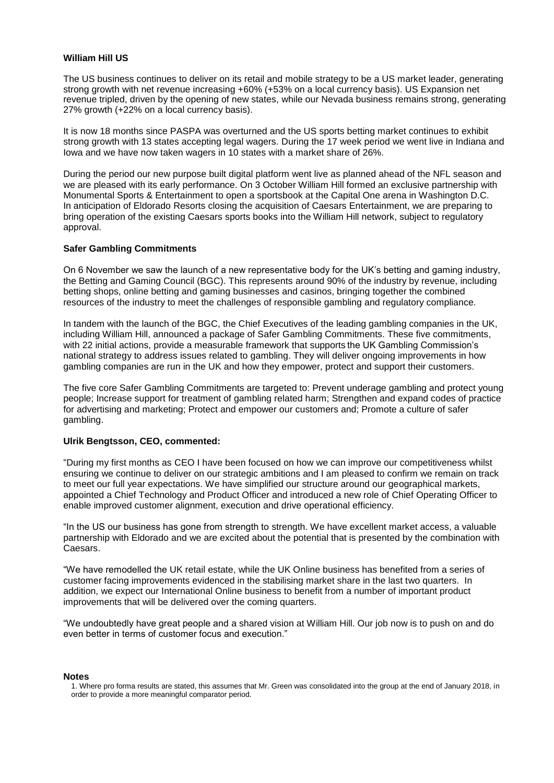## **William Hill US**

The US business continues to deliver on its retail and mobile strategy to be a US market leader, generating strong growth with net revenue increasing +60% (+53% on a local currency basis). US Expansion net revenue tripled, driven by the opening of new states, while our Nevada business remains strong, generating 27% growth (+22% on a local currency basis).

It is now 18 months since PASPA was overturned and the US sports betting market continues to exhibit strong growth with 13 states accepting legal wagers. During the 17 week period we went live in Indiana and Iowa and we have now taken wagers in 10 states with a market share of 26%.

During the period our new purpose built digital platform went live as planned ahead of the NFL season and we are pleased with its early performance. On 3 October William Hill formed an exclusive partnership with Monumental Sports & Entertainment to open a sportsbook at the Capital One arena in Washington D.C. In anticipation of Eldorado Resorts closing the acquisition of Caesars Entertainment, we are preparing to bring operation of the existing Caesars sports books into the William Hill network, subject to regulatory approval.

## **Safer Gambling Commitments**

On 6 November we saw the launch of a new representative body for the UK's betting and gaming industry, the Betting and Gaming Council (BGC). This represents around 90% of the industry by revenue, including betting shops, online betting and gaming businesses and casinos, bringing together the combined resources of the industry to meet the challenges of responsible gambling and regulatory compliance.

In tandem with the launch of the BGC, the Chief Executives of the leading gambling companies in the UK, including William Hill, announced a package of Safer Gambling Commitments. These five commitments, with 22 initial actions, provide a measurable framework that supports the UK Gambling Commission's national strategy to address issues related to gambling. They will deliver ongoing improvements in how gambling companies are run in the UK and how they empower, protect and support their customers.

The five core Safer Gambling Commitments are targeted to: Prevent underage gambling and protect young people; Increase support for treatment of gambling related harm; Strengthen and expand codes of practice for advertising and marketing; Protect and empower our customers and; Promote a culture of safer gambling.

## **Ulrik Bengtsson, CEO, commented:**

"During my first months as CEO I have been focused on how we can improve our competitiveness whilst ensuring we continue to deliver on our strategic ambitions and I am pleased to confirm we remain on track to meet our full year expectations. We have simplified our structure around our geographical markets, appointed a Chief Technology and Product Officer and introduced a new role of Chief Operating Officer to enable improved customer alignment, execution and drive operational efficiency.

"In the US our business has gone from strength to strength. We have excellent market access, a valuable partnership with Eldorado and we are excited about the potential that is presented by the combination with Caesars.

"We have remodelled the UK retail estate, while the UK Online business has benefited from a series of customer facing improvements evidenced in the stabilising market share in the last two quarters. In addition, we expect our International Online business to benefit from a number of important product improvements that will be delivered over the coming quarters.

"We undoubtedly have great people and a shared vision at William Hill. Our job now is to push on and do even better in terms of customer focus and execution."

#### **Notes**

<sup>1.</sup> Where pro forma results are stated, this assumes that Mr. Green was consolidated into the group at the end of January 2018, in order to provide a more meaningful comparator period.